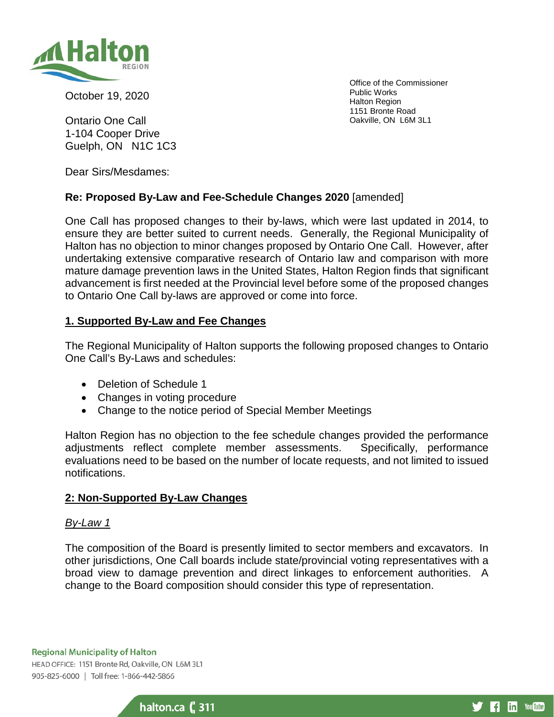

October 19, 2020

Ontario One Call 1-104 Cooper Drive Guelph, ON N1C 1C3 Office of the Commissioner Public Works Halton Region 1151 Bronte Road Oakville, ON L6M 3L1

 $\blacktriangleright$  **F** in You Tube

Dear Sirs/Mesdames:

# **Re: Proposed By-Law and Fee-Schedule Changes 2020** [amended]

One Call has proposed changes to their by-laws, which were last updated in 2014, to ensure they are better suited to current needs. Generally, the Regional Municipality of Halton has no objection to minor changes proposed by Ontario One Call. However, after undertaking extensive comparative research of Ontario law and comparison with more mature damage prevention laws in the United States, Halton Region finds that significant advancement is first needed at the Provincial level before some of the proposed changes to Ontario One Call by-laws are approved or come into force.

# **1. Supported By-Law and Fee Changes**

The Regional Municipality of Halton supports the following proposed changes to Ontario One Call's By-Laws and schedules:

- Deletion of Schedule 1
- Changes in voting procedure
- Change to the notice period of Special Member Meetings

Halton Region has no objection to the fee schedule changes provided the performance adjustments reflect complete member assessments. Specifically, performance evaluations need to be based on the number of locate requests, and not limited to issued notifications.

#### **2: Non-Supported By-Law Changes**

#### *By-Law 1*

The composition of the Board is presently limited to sector members and excavators. In other jurisdictions, One Call boards include state/provincial voting representatives with a broad view to damage prevention and direct linkages to enforcement authorities. A change to the Board composition should consider this type of representation.

**Regional Municipality of Halton** HEAD OFFICE: 1151 Bronte Rd, Oakville, ON L6M 3L1

905-825-6000 | Toll free: 1-866-442-5866

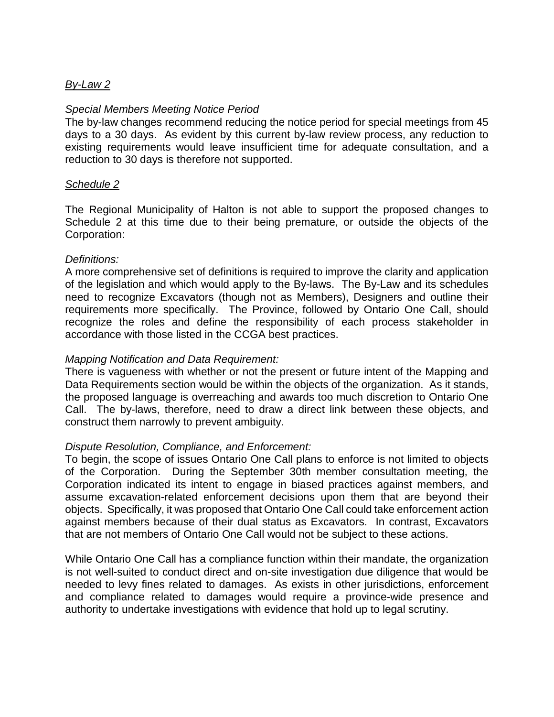# *By-Law 2*

## *Special Members Meeting Notice Period*

The by-law changes recommend reducing the notice period for special meetings from 45 days to a 30 days. As evident by this current by-law review process, any reduction to existing requirements would leave insufficient time for adequate consultation, and a reduction to 30 days is therefore not supported.

#### *Schedule 2*

The Regional Municipality of Halton is not able to support the proposed changes to Schedule 2 at this time due to their being premature, or outside the objects of the Corporation:

#### *Definitions:*

A more comprehensive set of definitions is required to improve the clarity and application of the legislation and which would apply to the By-laws. The By-Law and its schedules need to recognize Excavators (though not as Members), Designers and outline their requirements more specifically. The Province, followed by Ontario One Call, should recognize the roles and define the responsibility of each process stakeholder in accordance with those listed in the CCGA best practices.

#### *Mapping Notification and Data Requirement:*

There is vagueness with whether or not the present or future intent of the Mapping and Data Requirements section would be within the objects of the organization. As it stands, the proposed language is overreaching and awards too much discretion to Ontario One Call. The by-laws, therefore, need to draw a direct link between these objects, and construct them narrowly to prevent ambiguity.

#### *Dispute Resolution, Compliance, and Enforcement:*

To begin, the scope of issues Ontario One Call plans to enforce is not limited to objects of the Corporation. During the September 30th member consultation meeting, the Corporation indicated its intent to engage in biased practices against members, and assume excavation-related enforcement decisions upon them that are beyond their objects. Specifically, it was proposed that Ontario One Call could take enforcement action against members because of their dual status as Excavators. In contrast, Excavators that are not members of Ontario One Call would not be subject to these actions.

While Ontario One Call has a compliance function within their mandate, the organization is not well-suited to conduct direct and on-site investigation due diligence that would be needed to levy fines related to damages. As exists in other jurisdictions, enforcement and compliance related to damages would require a province-wide presence and authority to undertake investigations with evidence that hold up to legal scrutiny.